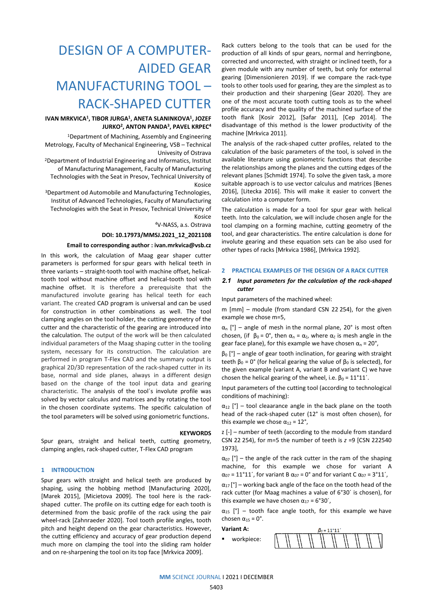# DESIGN OF A COMPUTER-AIDED GEAR MANUFACTURING TOOL – RACK-SHAPED CUTTER

# **IVAN MRKVICA1, TIBOR JURGA1, ANETA SLANINKOVA1, JOZEF JURKO2, ANTON PANDA3, PAVEL KRPEC4**

1Department of Machining, Assembly and Engineering Metrology, Faculty of Mechanical Engineering, VSB – Technical Univesity of Ostrava

2Department of Industrial Engineering and Informatics, Institut of Manufacturing Management, Faculty of Manufacturing Technologies with the Seat in Presov, Technical University of Kosice

3Department od Automobile and Manufacturing Technologies, Institut of Advanced Technologies, Faculty of Manufacturing Technologies with the Seat in Presov, Technical University of Kosice

4V-NASS, a.s. Ostrava

## **DOI: 10.17973/MMSJ.2021\_12\_2021108**

## **Email to corresponding author [: ivan.mrkvica@vsb.cz](mailto:ivan.mrkvica@vsb.cz)**

In this work, the calculation of Maag gear shaper cutter parameters is performed for spur gears with helical teeth in three variants – straight-tooth tool with machine offset, helicaltooth tool without machine offset and helical-tooth tool with machine offset. It is therefore a prerequisite that the manufactured involute gearing has helical teeth for each variant. The created CAD program is universal and can be used for construction in other combinations as well. The tool clamping angles on the tool holder, the cutting geometry of the cutter and the characteristic of the gearing are introduced into the calculation. The output of the work will be then calculated individual parameters of the Maag shaping cutter in the tooling system, necessary for its construction. The calculation are performed in program T-Flex CAD and the summary output is graphical 2D/3D representation of the rack-shaped cutter in its base, normal and side planes, always in a different design based on the change of the tool input data and gearing characteristic. The analysis of the tool´s involute profile was solved by vector calculus and matrices and by rotating the tool in the chosen coordinate systems. The specific calculation of the tool parameters will be solved using goniometric functions.

## **KEYWORDS**

Spur gears, straight and helical teeth, cutting geometry, clamping angles, rack-shaped cutter, T-Flex CAD program

## **1 INTRODUCTION**

Spur gears with straight and helical teeth are produced by shaping, using the hobbing method [Manufacturing 2020], [Marek 2015], [Micietova 2009]. The tool here is the rackshaped cutter. The profile on its cutting edge for each tooth is determined from the basic profile of the rack using the pair wheel-rack [Zahnraeder 2020]. Tool tooth profile angles, tooth pitch and height depend on the gear characteristics. However, the cutting efficiency and accuracy of gear production depend much more on clamping the tool into the sliding ram holder and on re-sharpening the tool on its top face [Mrkvica 2009].

Rack cutters belong to the tools that can be used for the production of all kinds of spur gears, normal and herringbone, corrected and uncorrected, with straight or inclined teeth, for a given module with any number of teeth, but only for external gearing [Dimensionieren 2019]. If we compare the rack-type tools to other tools used for gearing, they are the simplest as to their production and their sharpening [Gear 2020]. They are one of the most accurate tooth cutting tools as to the wheel profile accuracy and the quality of the machined surface of the tooth flank [Kosir 2012], [Safar 2011], [Cep 2014]. The disadvantage of this method is the lower productivity of the machine [Mrkvica 2011].

The analysis of the rack-shaped cutter profiles, related to the calculation of the basic parameters of the tool, is solved in the available literature using goniometric functions that describe the relationships among the planes and the cutting edges of the relevant planes [Schmidt 1974]. To solve the given task, a more suitable approach is to use vector calculus and matrices [Benes 2016], [Litecka 2016]. This will make it easier to convert the calculation into a computer form.

The calculation is made for a tool for spur gear with helical teeth. Into the calculation, we will include chosen angle for the tool clamping on a forming machine, cutting geometry of the tool, and gear characteristics. The entire calculation is done for involute gearing and these equation sets can be also used for other types of racks [Mrkvica 1986], [Mrkvica 1992].

## **2 PRACTICAL EXAMPLES OF THE DESIGN OF A RACK CUTTER**

## *2.1 Input parameters for the calculation of the rack-shaped cutter*

Input parameters of the machined wheel:

m [mm] – module (from standard CSN 22 254), for the given example we chose m=5,

 $\alpha_n$  [°] – angle of mesh in the normal plane, 20° is most often chosen, (if  $\beta_0 = 0^\circ$ , then  $\alpha_n = \alpha_\varepsilon$ , where  $\alpha_\varepsilon$  is mesh angle in the gear face plane), for this example we have chosen  $\alpha_n = 20^\circ$ ,

 $β<sub>0</sub> [°]$  – angle of gear tooth inclination, for gearing with straight teeth  $β_0 = 0°$  (for helical gearing the value of  $β_0$  is selected), for the given example (variant A, variant B and variant C) we have chosen the helical gearing of the wheel, i.e.  $\beta_0 = 11^{\circ}11'$ .

Input parameters of the cutting tool (according to technological conditions of machining):

 $\alpha_{12}$  [°] – tool cleaarance angle in the back plane on the tooth head of the rack-shaped cuter (12° is most often chosen), for this example we chose  $\alpha_{12} = 12^{\circ}$ ,

z [-] – number of teeth (according to the module from standard CSN 22 254), for m=5 the number of teeth is *z* =9 [CSN 222540 1973],

 $\alpha_{07}$  [°] – the angle of the rack cutter in the ram of the shaping machine, for this example we chose for variant A  $\alpha_{07}$  = 11°11′, for variant B  $\alpha_{07}$  = 0° and for variant C  $\alpha_{07}$  = 3°11′,

 $\alpha_{17}$  [°] – working back angle of the face on the tooth head of the rack cutter (for Maag machines a value of 6°30´ is chosen), for this example we have chosen  $\alpha_{17}$  = 6°30′,

 $\alpha_{15}$  [°] – tooth face angle tooth, for this example we have chosen  $\alpha_{15} = 0^\circ$ .

**Variant A:**

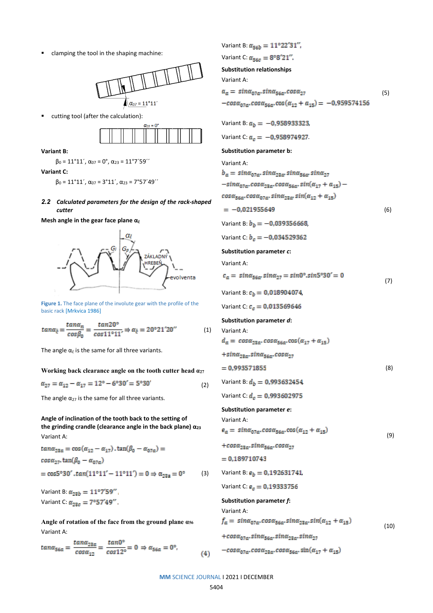clamping the tool in the shaping machine:



cutting tool (after the calculation):



**Variant B:**

 $β<sub>0</sub> = 11°11′$ ,  $α<sub>07</sub> = 0°$ ,  $α<sub>23</sub> = 11°7′59′′$ 

**Variant C:**

 $\beta_0 = 11^{\circ}11'$ ,  $\alpha_{07} = 3^{\circ}11'$ ,  $\alpha_{23} = 7^{\circ}57'49''$ 

*2.2 Calculated parameters for the design of the rack-shaped cutter*

**Mesh angle in the gear face plane**  $α<sub>č</sub>$ 



**Figure 1.** The face plane of the involute gear with the profile of the basic rack [Mrkvica 1986]

$$
tan\alpha_{\tilde{c}} = \frac{tan\alpha_n}{cos\beta_0} = \frac{tan20^\circ}{cos11^\circ 11^\circ} \Rightarrow \alpha_{\tilde{c}} = 20^\circ 21^\prime 20^{\prime\prime} \tag{1}
$$

The angle  $\alpha_{\tilde{c}}$  is the same for all three variants.

**Working back clearance angle on the tooth cutter head α<sup>27</sup>**

 $\alpha_{27}=\alpha_{12}-\alpha_{17}=12^{\circ}-6^{\circ}30^{\prime}=5^{\circ}30^{\prime}$ (2)

The angle  $\alpha_{27}$  is the same for all three variants.

**Angle of inclination of the tooth back to the setting of the grinding crandle (clearance angle in the back plane) α<sup>23</sup>** Variant A:

 $tan\alpha_{23\alpha} = cos(\alpha_{12} - \alpha_{17})$ .  $tan(\beta_0 - \alpha_{07\alpha}) =$  $cos\alpha_{27}$   $tan(\beta_0 - \alpha_{07a})$  $= \cos 5^\circ 30'$ .tan(11°11' – 11°11') = 0  $\Rightarrow \alpha_{23a} = 0^\circ$  (3)

Variant B:  $\alpha_{23b} = 11^{\circ}7'59''$ Variant C:  $\mathbf{g}_{22e} = 7^{\circ}57^{\prime}49^{\prime\prime}$ .

**Angle of rotation of the face from the ground plane α<sup>56</sup>** Variant A:

 $tan\alpha_{56a} = \frac{tan\alpha_{23a}}{cos\alpha_{12}} = \frac{tan0^{\circ}}{cos12^{\circ}} = 0 \Rightarrow \alpha_{56a} = 0^{\circ},$  $(4)$ 

Variant B:  $\alpha_{56b} = 11^{\circ}22^{\circ}31^{\circ}$ , Variant C:  $\alpha_{56c} = 8^{\circ}8^{\circ}21^{\circ}$ . **Substitution relationships** Variant A:  $(5)$  $-cos \alpha_{07a} \cdot cos \alpha_{56a} \cdot cos(\alpha_{12} + \alpha_{15}) = -0.959574156$ Variant B:  $a_b = -0.958933323$ , Variant C:  $a_e = -0.958974927$ . **Substitution parameter b:** Variant A:  $b_{\alpha} = sin\alpha_{07\alpha}$ , sin $\alpha_{22\alpha}$  sin $\alpha_{56\alpha}$ , sin $\alpha_{27}$ <br>-sin $\alpha_{07\alpha}$ , cos $\alpha_{22\alpha}$ , cos $\alpha_{56\alpha}$ , sin $(\alpha_{17} + \alpha_{15})$   $cos\alpha_{56a}$ . $cos\alpha_{67a}$ .  $sin\alpha_{23a}$ .  $sin(\alpha_{12} + \alpha_{15})$  $(6)$ Variant B:  $b_b = -0.039356668$ , Variant C:  $b_e = -0.034529362$ **Substitution parameter** *c***:** Variant A:  $c_{\alpha} = sin\alpha_{56\alpha} sin\alpha_{27} = sin0^{\circ}.sin5^{\circ}30' = 0$  (7) Variant B:  $c_h = 0.018904074$ , Variant C:  $c_e = 0.013569646$ **Substitution parameter** *d***:** Variant A:  $d_n = \cos \alpha_{22n}, \cos \alpha_{5kn}, \cos(\alpha_{17} + \alpha_{15})$  $+sin\alpha_{23\alpha}sin\alpha_{56\alpha}cos\alpha_{27}$  (8) Variant B:  $d_h = 0.993632454$ , Variant C:  $d_e = 0.993602975$ **Substitution parameter** *e***:** Variant A: (9)  $+cos\alpha_{23\alpha} . sin\alpha_{56\alpha} . cos\alpha_{27}$  $= 0.189710743$ Variant B:  $e_b = 0.192631741$ , Variant C:  $e_e = 0.19333756$ **Substitution parameter** *f***:** Variant A:  $f_{\alpha} = \sin \alpha_{07\alpha} \cdot \cos \alpha_{56\alpha} \cdot \sin \alpha_{23\alpha} \cdot \sin(\alpha_{12} + \alpha_{15})$  (10) +cosa<sub>07a</sub>.sina<sub>56a</sub>.sina<sub>23a</sub>.sina<sub>27</sub>  $-cos \alpha_{07\alpha}.cos \alpha_{23\alpha}.cos \alpha_{56\alpha}.sin(\alpha_{17}+\alpha_{15})$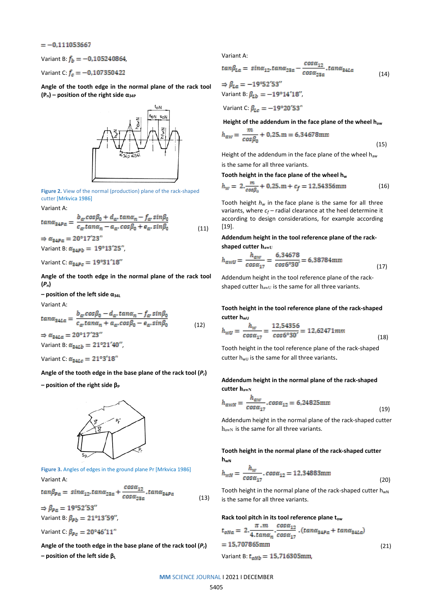## $=-0.111053667$

Variant B:  $f_b = -0.105240864$ ,

Variant C:  $f_c = -0.107350422$ 

**Angle of the tooth edge in the normal plane of the rack tool (Pn) – position of the right side α34P**



**Figure 2.** View of the normal (production) plane of the rack-shaped cutter [Mrkvica 1986]

Variant A:

$$
tan \alpha_{24Pa} = \frac{b_{\alpha} cos \beta_0 + d_{\alpha} \cdot tan \alpha_n - f_{\alpha} \cdot sin \beta_0}{c_{\alpha} tan \alpha_n - a_{\alpha} \cdot cos \beta_0 + e_{\alpha} \cdot sin \beta_0}
$$
(11)  

$$
\Rightarrow \alpha_{24Pa} = 20^{\circ} 17' 23''
$$

Variant B:  $\alpha_{\rm 34Pb} = 19^{\circ}13^{\circ}25^{\circ}$ ,

Variant C:  $\alpha_{\text{map}} = 19^{\circ}31^{\circ}18^{\circ}$ 

**Angle of the tooth edge in the normal plane of the rack tool (***Pn***)** 

**– position of the left side α34L**

Variant A:

$$
tan \alpha_{34La} = \frac{b_{\alpha} cos \beta_0 - d_{\alpha} tan \alpha_n - f_{\alpha} sin \beta_0}{c_{\alpha} tan \alpha_n + a_{\alpha} cos \beta_0 - e_{\alpha} sin \beta_0}
$$
\n
$$
\Rightarrow \alpha_{34La} = 20^{\circ} 17' 23''
$$
\n(12)

Variant B:  $a_{24Ih} = 21^{\circ}21^{\circ}40^{\circ}$ ,

Variant C:  $\alpha_{\text{gate}} = 21^{\circ}3^{\circ}18^{\circ}$ 

**Angle of the tooth edge in the base plane of the rack tool (***Pr***)**

**– position of the right side β<sup>P</sup>**



**Figure 3.** Angles of edges in the ground plane Pr [Mrkvica 1986] Variant A:

 $tan\beta_{Pa} = sin\alpha_{12} . tan\alpha_{23\alpha} + \frac{cos\alpha_{12}}{cos\alpha_{23\alpha}} . tan\alpha_{24Pa}$  (13)

 $\Rightarrow \beta_{\text{Pn}} = 19^{\circ}52^{\prime}53^{\prime\prime}$ Variant B:  $\beta_{\rm ph} = 21^{\circ}13'59''$ ,

Variant C:  $B_{\text{Bc}} = 20^{\circ} 46^{\circ} 11^{\circ}$ 

**Angle of the tooth edge in the base plane of the rack tool (***Pr***) – position of the left side β<sup>L</sup>**

Variant A:

$$
tan\beta_{La} = sin\alpha_{12} . tan\alpha_{23\alpha} - \frac{cos\alpha_{12}}{cos\alpha_{23\alpha}} . tan\alpha_{24La}
$$
  
\n
$$
\Rightarrow \beta_{La} = -19^{\circ}52'53''
$$
\n(14)

Variant B:  $\beta_{\bar{v}b} = -19^{\circ}14^{\circ}18^{\circ}$ ,

Variant C:  $\beta_{Le} = -19^{\circ}20^{\prime}53^{\prime\prime}$ 

**Height of the addendum in the face plane of the wheel haw**

$$
h_{aw} = \frac{m}{\cos \beta_0} + 0.25 \, \text{m} = 6.34678 \, \text{mm}
$$
\n
$$
\tag{15}
$$

Height of the addendum in the face plane of the wheel haw is the same for all three variants.

Tooth height in the face plane of the wheel h<sub>w</sub>

$$
h_w = 2 \cdot \frac{m}{\cos \beta_0} + 0.25 \cdot m + c_f = 12.54356 \text{mm}
$$
 (16)

Tooth height  $h_w$  in the face plane is the same for all three variants, where  $c_f$  – radial clearance at the heel determine it according to design considerations, for example according [19].

**Addendum height in the tool reference plane of the rackshaped cutter hawU**

$$
h_{awU} = \frac{h_{aw}}{\cos \alpha_{17}} = \frac{6.34678}{\cos 6°30'} = 6.38784 \text{mm}
$$
 (17)

Addendum height in the tool reference plane of the rackshaped cutter  $h_{awU}$  is the same for all three variants.

**Tooth height in the tool reference plane of the rack-shaped cutter hwu** 

$$
h_{WD} = \frac{h_W}{\cos \alpha_{17}} = \frac{12.54356}{\cos 6^{\circ} 30'} = 12.62471 \text{mm}
$$
\n(18)

Tooth height in the tool reference plane of the rack-shaped cutter  $h_{wU}$  is the same for all three variants.

# **Addendum height in the normal plane of the rack-shaped cutter hawN**

$$
h_{\text{avW}} = \frac{h_{\text{av}}}{\cos \alpha_{17}} \cdot \cos \alpha_{12} = 6.24825 \text{mm}
$$
\n
$$
\tag{19}
$$

Addendum height in the normal plane of the rack-shaped cutter h<sub>awN</sub> is the same for all three variants.

## **Tooth height in the normal plane of the rack-shaped cutter hwN**

$$
h_{\text{WN}} = \frac{h_{\text{W}}}{\cos \alpha_{17}} \cdot \cos \alpha_{12} = 12.34883 \text{mm} \tag{20}
$$

Tooth height in the normal plane of the rack-shaped cutter  $h_{wN}$ is the same for all three variants.

## Rack tool pitch in its tool reference plane t<sub>ow</sub>

$$
t_{\text{oNa}} = 2 \cdot \frac{\pi \cdot m}{4 \cdot \tan \alpha_n} \cdot \frac{\cos \alpha_{12}}{\cos \alpha_{17}} \cdot (\tan \alpha_{24P\alpha} + \tan \alpha_{24La})
$$
  
= 15,707865mm  
Variant B:  $t_{\text{oNb}} = 15,716305 \text{mm}$ , (21)

**MM** SCIENCE JOURNAL I 2021 I DECEMBER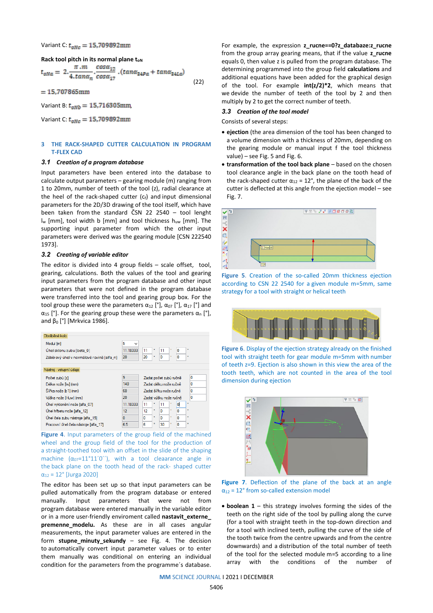Variant C:  $t_{\text{max}} = 15,709892 \text{mm}$ 

**Rack tool pitch in its normal plane ton** 

$$
t_{\text{on}} = 2. \frac{\pi \cdot m}{4. \tan \alpha_n} \cdot \frac{\cos \alpha_{12}}{\cos \alpha_{17}} \cdot (\tan \alpha_{24Pa} + \tan \alpha_{24La}) \tag{22}
$$

 $=15,707865$ mm

Variant B:  $t_{\text{ov}b} = 15,716305$ mm,

Variant C:  $t_{\text{one}} = 15,709892 \text{mm}$ 

## **3 THE RACK-SHAPED CUTTER CALCULATION IN PROGRAM T-FLEX CAD**

## *3.1 Creation of a program database*

Input parameters have been entered into the database to calculate output parameters – gearing module (m) ranging from 1 to 20mm, number of teeth of the tool (z), radial clearance at the heel of the rack-shaped cutter  $(c_f)$  and input dimensional parameters for the 2D/3D drawing of the tool itself, which have been taken from the standard ČSN 22 2540 – tool lenght  $I_w$  [mm], tool width b [mm] and tool thickness  $h_{uw}$  [mm]. The supporting input parameter from which the other input parameters were derived was the gearing module [CSN 222540 1973].

## *3.2 Creating of variable editor*

The editor is divided into 4 group fields – scale offset, tool, gearing, calculations. Both the values of the tool and gearing input parameters from the program database and other input parameters that were not defined in the program database were transferred into the tool and gearing group box. For the tool group these were the parameters  $\alpha_{12}$  [°],  $\alpha_{07}$  [°],  $\alpha_{17}$  [°] and  $\alpha_{15}$  [°]. For the gearing group these were the parameters  $\alpha_{n}$  [°], and  $β_0 [°]$  [Mrkvica 1986].

| Obráběné kolo                             |                             |                             |                             |   |    |   |   |              |  |  |  |
|-------------------------------------------|-----------------------------|-----------------------------|-----------------------------|---|----|---|---|--------------|--|--|--|
| Modul [m]                                 |                             |                             |                             |   |    |   |   |              |  |  |  |
| Ühel sklonu zubu [beta 0]                 | 11.18333                    |                             | 11                          | ۰ | 11 | ł | 0 | $\mathbf{r}$ |  |  |  |
| Záběrový úhel v normálové rovině [alfa_n] | 20                          |                             | 20                          | ٠ | 0  | × | 0 | $\mathbf{H}$ |  |  |  |
| Nástroj - vstupní údaje                   |                             |                             |                             |   |    |   |   |              |  |  |  |
| Počet zubů [z]                            | 0<br>Zadat počet zubů ručně |                             |                             |   |    |   |   |              |  |  |  |
| Délka nože liwi (mm)                      | 140                         |                             | 0<br>Zadat délku nože ručně |   |    |   |   |              |  |  |  |
| Šířka nože [b1] (mm)                      | 60                          |                             | 0<br>Zadat šířku nože ničně |   |    |   |   |              |  |  |  |
| Výška nože [Huw] (mm)                     | 20                          | 0<br>Zadat výšku nože ručně |                             |   |    |   |   |              |  |  |  |
| Úhel vyklonění nože [alfa 07]             | 11.18333                    |                             | 11                          | ٠ | 11 |   | O | ×            |  |  |  |
| Úhel hřbetu nože [alfa 12]                | 12                          |                             | 12                          | ۰ | O  | ٠ | O | $\mathbf{r}$ |  |  |  |
| Úhel čela zubu nástroje ľalfa 151         | 0                           |                             | n                           | ٠ | 0  | ٠ | 0 | m            |  |  |  |
| Pracovní úhel čela nástroje [alfa 17]     | 6.5                         |                             | ĥ                           | ٠ | 30 | ٠ | 0 | m            |  |  |  |

**Figure 4**. Input parameters of the group field of the machined wheel and the group field of the tool for the production of a straight-toothed tool with an offset in the slide of the shaping machine  $(\alpha_{07}=11^{\circ}11'0'')$ , with a tool cleaarance angle in the back plane on the tooth head of the rack- shaped cutter α<sup>12</sup> = 12° [Jurga 2020]

The editor has been set up so that input parameters can be pulled automatically from the program database or entered manually. Input parameters that were not from program database were entered manually in the variable editor or in a more user-friendly enviroment called nastavit externe **premenne\_modelu.** As these are in all cases angular measurements, the input parameter values are entered in the form **stupne\_minuty\_sekundy** – see Fig. 4. The decision to automatically convert input parameter values or to enter them manually was conditional on entering an individual condition for the parameters from the programme´s database.

For example, the expression **z\_rucne==0?z\_databaze:z\_rucne** from the group array gearing means, that if the value **z\_rucne**  equals 0, then value z is pulled from the program database. The determining programmed into the group field **calculations** and additional equations have been added for the graphical design of the tool. For example **int(z/2)\*2**, which means that we devide the number of teeth of the tool by 2 and then multiply by 2 to get the correct number of teeth.

#### *3.3 Creation of the tool model*

Consists of several steps:

- **ejection** (the area dimension of the tool has been changed to a volume dimension with a thickness of 20mm, depending on the gearing module or manual input f the tool thickness value) – see Fig. 5 and Fig. 6.
- **transformation of the tool back plane** based on the chosen tool clearance angle in the back plane on the tooth head of the rack-shaped cutter  $\alpha_{12} = 12^{\circ}$ , the plane of the back of the cutter is deflected at this angle from the ejection model – see Fig. 7.



**Figure 5**. Creation of the so-called 20mm thickness ejection according to CSN 22 2540 for a given module m=5mm, same strategy for a tool with straight or helical teeth



**Figure 6**. Display of the ejection strategy already on the finished tool with straight teeth for gear module m=5mm with number of teeth z=9. Ejection is also shown in this view the area of the tooth teeth, which are not counted in the area of the tool dimension during ejection



**Figure 7**. Deflection of the plane of the back at an angle  $\alpha_{12}$  = 12° from so-called extension model

• **boolean 1** – this strategy involves forming the sides of the teeth on the right side of the tool by pulling along the curve (for a tool with straight teeth in the top-down direction and for a tool with inclined teeth, pulling the curve of the side of the tooth twice from the centre upwards and from the centre downwards) and a distribution of the total number of teeth of the tool for the selected module m=5 according to a line array with the conditions of the number of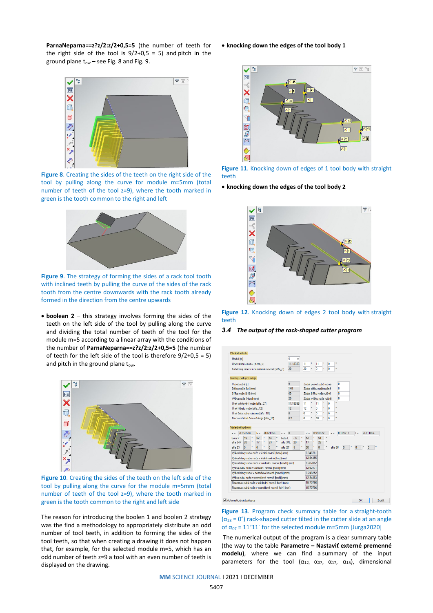**ParnaNeparna==z?z/2:z/2+0,5=5** (the number of teeth for the right side of the tool is  $9/2+0.5 = 5$ ) and pitch in the ground plane  $t_{ow}$  – see Fig. 8 and Fig. 9.



**Figure 8**. Creating the sides of the teeth on the right side of the tool by pulling along the curve for module m=5mm (total number of teeth of the tool z=9), where the tooth marked in green is the tooth common to the right and left



**Figure 9**. The strategy of forming the sides of a rack tool tooth with inclined teeth by pulling the curve of the sides of the rack tooth from the centre downwards with the rack tooth already formed in the direction from the centre upwards

• **boolean 2** – this strategy involves forming the sides of the teeth on the left side of the tool by pulling along the curve and dividing the total number of teeth of the tool for the module m=5 according to a linear array with the conditions of the number of **ParnaNeparna==z?z/2:z/2+0,5=5** (the number of teeth for the left side of the tool is therefore 9/2+0,5 = 5) and pitch in the ground plane  $t_{ow}$ .



**Figure 10**. Creating the sides of the teeth on the left side of the tool by pulling along the curve for the module m=5mm (total number of teeth of the tool z=9), where the tooth marked in green is the tooth common to the right and left side

The reason for introducing the boolen 1 and boolen 2 strategy was the find a methodology to appropriately distribute an odd number of tool teeth, in addition to forming the sides of the tool teeth, so that when creating a drawing it does not happen that, for example, for the selected module m=5, which has an odd number of teeth z=9 a tool with an even number of teeth is displayed on the drawing.

#### • **knocking down the edges of the tool body 1**



**Figure 11**. Knocking down of edges of 1 tool body with straight teeth

• **knocking down the edges of the tool body 2**



**Figure 12**. Knocking down of edges 2 tool body with straight teeth

*3.4 The output of the rack-shaped cutter program*

| Modul [m]                                                                                                                                                                                                          |                            |                                               |                                                    |           |                |                |                                                                                               | 5   | $\checkmark$ |                        |                             |          |                        |                             |   |       |                           |                |                |  |
|--------------------------------------------------------------------------------------------------------------------------------------------------------------------------------------------------------------------|----------------------------|-----------------------------------------------|----------------------------------------------------|-----------|----------------|----------------|-----------------------------------------------------------------------------------------------|-----|--------------|------------------------|-----------------------------|----------|------------------------|-----------------------------|---|-------|---------------------------|----------------|----------------|--|
| Úhelsklonu zubu (beta 01                                                                                                                                                                                           |                            |                                               |                                                    |           |                |                |                                                                                               |     | 11.18333     |                        | 11                          |          | 11                     |                             | n |       |                           |                |                |  |
| Záběrový úhel v normálové rovině [alfa_n]                                                                                                                                                                          |                            |                                               |                                                    |           |                |                |                                                                                               | 20  |              |                        | 20<br>ö                     | 0<br>'n  |                        |                             |   |       |                           |                |                |  |
| Nástroj - vstupní údaje                                                                                                                                                                                            |                            |                                               |                                                    |           |                |                |                                                                                               |     |              |                        |                             |          |                        |                             |   |       |                           |                |                |  |
| Počet zubů [z]                                                                                                                                                                                                     |                            |                                               |                                                    |           |                |                |                                                                                               | 9   |              |                        |                             |          | Zadat počet zubů ručně |                             |   |       | $\overline{0}$            |                |                |  |
| Délka nože liwl (mm)                                                                                                                                                                                               |                            |                                               |                                                    |           |                |                |                                                                                               |     | 140          |                        |                             |          |                        | 0<br>Zadat délku nože ručně |   |       |                           |                |                |  |
|                                                                                                                                                                                                                    | Šířka nože [b1] (mm)       |                                               |                                                    |           |                |                |                                                                                               | 60  |              |                        | Zadat šířku nože ničně<br>n |          |                        |                             |   |       |                           |                |                |  |
| Wška nože [Huw] (mm)                                                                                                                                                                                               |                            |                                               |                                                    |           |                |                | 20                                                                                            |     |              | Zadat výšku nože ručně |                             |          |                        |                             | n |       |                           |                |                |  |
| Úhel vyklonění nože ľalfa 071                                                                                                                                                                                      |                            |                                               |                                                    |           |                | 11.18333<br>11 |                                                                                               |     |              |                        | 11<br>'n                    |          |                        |                             |   |       |                           |                |                |  |
|                                                                                                                                                                                                                    | Úhel hřbetu nože [alfa 12] |                                               |                                                    |           | 12<br>12       |                |                                                                                               | ö   | $\Omega$     |                        | ¥                           | n        |                        |                             |   |       |                           |                |                |  |
| Úhel čela zubu nástroje [alfa 15]                                                                                                                                                                                  |                            |                                               |                                                    |           |                |                |                                                                                               | n   |              | n                      | ö                           | o        |                        | ٠                           | n |       |                           |                |                |  |
| Pracovní úhel čela nástroie ľalfa 171                                                                                                                                                                              |                            |                                               |                                                    |           |                |                |                                                                                               | 6.5 |              | 6                      | ۰                           |          | 30                     |                             | n |       | ٠                         |                |                |  |
| Výsledné hodnoty<br>$AB =$                                                                                                                                                                                         | $-0.959574$                |                                               | $b =$                                              |           | $-0.021956$    |                | $c = 0$                                                                                       |     |              |                        | $d =$                       |          | 0.993572               |                             |   | $e =$ | 0.189711                  | f =            | $-0.111054$    |  |
| beta P                                                                                                                                                                                                             | 19                         | ٠<br>٠                                        | 52                                                 | $\bullet$ | 54             |                | heta L                                                                                        |     | $-19$        | ٠<br>۰                 | 52                          | ×        | 54                     |                             |   |       |                           |                |                |  |
| alfa 34P                                                                                                                                                                                                           | 20                         |                                               | 17                                                 |           | 23             |                | alfa 34L                                                                                      |     | 20           | ٠                      | 17                          |          | 23                     |                             |   |       |                           |                |                |  |
|                                                                                                                                                                                                                    | $\overline{0}$             |                                               | $\overline{0}$                                     |           | $\overline{0}$ |                | alfa 27                                                                                       |     | 5            |                        | 30                          |          | $\overline{0}$         |                             |   |       | $\overline{0}$<br>alfa 56 | $\overline{0}$ | $\overline{0}$ |  |
|                                                                                                                                                                                                                    |                            |                                               |                                                    |           |                |                |                                                                                               |     |              |                        | 6.34678                     |          |                        |                             |   |       |                           |                |                |  |
|                                                                                                                                                                                                                    |                            | Wška hlavy zubu nože v čelní rovině lhwl (mm) |                                                    |           |                |                |                                                                                               |     |              |                        | 12 54355<br>6.387842        |          |                        |                             |   |       |                           |                |                |  |
|                                                                                                                                                                                                                    |                            |                                               | Wška hlavy zubu nože v základní rovině ľhawUl (mm) |           |                |                |                                                                                               |     |              |                        |                             | 12.62471 |                        |                             |   |       |                           |                |                |  |
|                                                                                                                                                                                                                    |                            |                                               |                                                    |           |                |                | Wška zubu nože v základní rovině [hwU] (mm)<br>Výška hlavy zubu v nomálové rovině ľhawNI (mm) |     |              |                        |                             |          |                        |                             |   |       |                           |                |                |  |
|                                                                                                                                                                                                                    |                            |                                               |                                                    |           |                |                |                                                                                               |     |              |                        |                             |          |                        |                             |   |       |                           |                |                |  |
|                                                                                                                                                                                                                    |                            |                                               |                                                    |           |                |                |                                                                                               |     |              |                        | 6.248252                    |          |                        |                             |   |       |                           |                |                |  |
|                                                                                                                                                                                                                    |                            |                                               |                                                    |           |                |                |                                                                                               |     |              |                        | 12.34883                    |          |                        |                             |   |       |                           |                |                |  |
| alfa 23<br>Výška hlavy zubu nože v čelní rovině [haw] (mm)<br>Výška zubu nože v normálové rovině lhwNl (mm)<br>Rozestup zubů nože v základní rovině ítowi (mm)<br>Rozestup zubů nože v normálové rovině (toN) (mm) |                            |                                               |                                                    |           |                |                |                                                                                               |     |              |                        | 15.70796<br>15.70796        |          |                        |                             |   |       |                           |                |                |  |

Automatická aktualizace

**Figure 13**. Program check summary table for a straight-tooth  $(\alpha_{23} = 0^{\circ})$  rack-shaped cutter tilted in the cutter slide at an angle of  $α_{07} = 11°11'$  for the selected module m=5mm [Jurga2020]

The numerical output of the program is a clear summary table (the way to the table **Parametre – Nastaviť externé premenné modelu)**, where we can find a summary of the input parameters for the tool ( $\alpha_{12}$ ,  $\alpha_{07}$ ,  $\alpha_{17}$ ,  $\alpha_{15}$ ), dimensional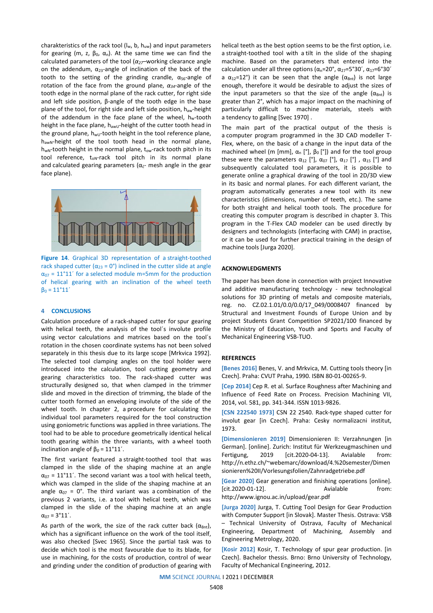charakteristics of the rack tool ( $I_w$ , b,  $h_{uw}$ ) and input parameters for gearing (m, z,  $β_0$ , α<sub>n</sub>). At the same time we can find the calculated parameters of the tool (*α27*–working clearance angle on the addendum,  $\alpha_{23}$ -angle of inclination of the back of the tooth to the setting of the grinding crandle,  $\alpha_{56}$ -angle of rotation of the face from the ground plane, *α34*-angle of the tooth edge in the normal plane of the rack cutter, for right side and left side position, β-angle of the tooth edge in the base plane of the tool, for right side and left side position,  $h_{aw}$ -height of the addendum in the face plane of the wheel,  $h_w$ -tooth height in the face plane,  $h_{awU}$ -height of the cutter tooth head in the ground plane,  $h_{wU}$ -tooth height in the tool reference plane, h<sub>awN</sub>-height of the tool tooth head in the normal plane,  $h_{wN}$ -tooth height in the normal plane,  $t_{ow}$ -rack tooth pitch in its tool reference,  $t_{on}$ -rack tool pitch in its normal plane and calculated gearing parameters ( $\alpha_{\tilde{c}}$ - mesh angle in the gear face plane).



**Figure 14**. Graphical 3D representation of a straight-toothed rack shaped cutter ( $\alpha_{23}$  = 0°) inclined in the cutter slide at angle  $\alpha_{07}$  = 11°11′ for a selected module m=5mm for the production of helical gearing with an inclination of the wheel teeth  $β<sub>0</sub> = 11°11'$ 

## **4 CONCLUSIONS**

Calculation procedure of a rack-shaped cutter for spur gearing with helical teeth, the analysis of the tool´s involute profile using vector calculations and matrices based on the tool´s rotation in the chosen coordinate systems has not been solved separately in this thesis due to its large scope [Mrkvica 1992]. The selected tool clamping angles on the tool holder were introduced into the calculation, tool cutting geometry and gearing characteristics too. The rack-shaped cutter was structurally designed so, that when clamped in the trimmer slide and moved in the direction of trimming, the blade of the cutter tooth formed an enveloping involute of the side of the wheel tooth. In chapter 2, a procedure for calculating the individual tool parameters required for the tool construction using goniometric functions was applied in three variations. The tool had to be able to procedure geometrically identical helical tooth gearing within the three variants, with a wheel tooth inclination angle of  $β<sub>0</sub> = 11°11'$ .

The first variant featured a straight-toothed tool that was clamped in the slide of the shaping machine at an angle  $\alpha_{07}$  = 11°11'. The second variant was a tool with helical teeth, which was clamped in the slide of the shaping machine at an angle  $\alpha_{07}$  = 0°. The third variant was a combination of the previous 2 variants, i.e. a tool with helical teeth, which was clamped in the slide of the shaping machine at an angle  $\alpha_{07} = 3^{\circ}11'$ .

As parth of the work, the size of the rack cutter back  $(\alpha_{\text{Bnt}})$ , which has a significant influence on the work of the tool itself, was also checked [Svec 1965]. Since the partial task was to decide which tool is the most favourable due to its blade, for use in machining, for the costs of production, control of wear and grinding under the condition of production of gearing with helical teeth as the best option seems to be the first option, i.e. a straight-toothed tool with a tilt in the slide of the shaping machine. Based on the parameters that entered into the calculation under all three options ( $\alpha_n$ =20°,  $\alpha_{27}$ =5°30´,  $\alpha_{17}$ =6°30´ a  $\alpha_{12}=12^{\circ}$ ) it can be seen that the angle  $(\alpha_{\text{Bnt}})$  is not large enough, therefore it would be desirable to adjust the sizes of the input parameters so that the size of the angle  $(\alpha_{\text{Bnt}})$  is greater than 2°, which has a major impact on the machining of particularly difficult to machine materials, steels with a tendency to galling [Svec 1970] .

The main part of the practical output of the thesis is a computer program programmed in the 3D CAD modeller T-Flex, where, on the basic of a change in the input data of the machined wheel (m [mm],  $\alpha_n$  [°],  $\beta_0$  [°]) and for the tool group these were the parameters  $\alpha_{12}$  [°],  $\alpha_{07}$  [°],  $\alpha_{17}$  [°],  $\alpha_{15}$  [°] and subsequently calculated tool parameters, it is possible to generate online a graphical drawing of the tool in 2D/3D view in its basic and normal planes. For each different variant, the program automatically generates a new tool with its new characteristics (dimensions, number of teeth, etc.). The same for both straight and helical tooth tools. The procedure for creating this computer program is described in chapter 3. This program in the T-Flex CAD modeler can be used directly by designers and technologists (interfacing with CAM) in practise, or it can be used for further practical training in the design of machine tools [Jurga 2020].

#### **ACKNOWLEDGMENTS**

The paper has been done in connection with project Innovative and additive manufacturing technology - new technological solutions for 3D printing of metals and composite materials, reg. no. CZ.02.1.01/0.0/0.0/17\_049/0008407 financed by Structural and Investment Founds of Europe Union and by project Students Grant Competition SP2021/100 financed by the Ministry of Education, Youth and Sports and Faculty of Mechanical Engineering VSB-TUO.

## **REFERENCES**

**[Benes 2016]** Benes, V. and Mrkvica, M. Cutting tools theory [in Czech]. Praha: CVUT Praha, 1990. ISBN 80-01-00265-9.

**[Cep 2014]** Cep R. et al. Surface Roughness after Machining and Influence of Feed Rate on Process. Precision Machining VII, 2014, vol. 581, pp. 341-344. ISSN 1013-9826.

**[CSN 222540 1973]** CSN 22 2540. Rack-type shaped cutter for involut gear [in Czech]. Praha: Cesky normalizacni institut, 1973.

**[Dimensionieren 2019]** Dimensionieren II: Verzahnungen [in German]. [online]. Zurich: Institut für Werkzeugmaschinen und Fertigung, 2019 [cit.2020-04-13]. Avialable from: [http://n.ethz.ch/~webemarc/download/4.%20semester/Dimen](http://n.ethz.ch/%7Ewebemarc/download/4.%20semester/Dimensionieren%20II/Vorlesungsfolien/Zahnradgetriebe.pdf) [sionieren%20II/Vorlesungsfolien/Zahnradgetriebe.pdf](http://n.ethz.ch/%7Ewebemarc/download/4.%20semester/Dimensionieren%20II/Vorlesungsfolien/Zahnradgetriebe.pdf)

**[Gear 2020]** Gear generation and finishing operations [online]. [cit.2020-01-12]. Avialable from: <http://www.ignou.ac.in/upload/gear.pdf>

**[Jurga 2020]** Jurga, T. Cutting Tool Design for Gear Production with Computer Support [in Slovak]. Master Thesis. Ostrava: VSB – Technical University of Ostrava, Faculty of Mechanical Engineering, Department of Machining, Assembly and Engineering Metrology, 2020.

**[Kosir 2012]** Kosir, T. Technology of spur gear production. [in Czech]. Bachelor thessis. Brno: Brno University of Technology, Faculty of Mechanical Engineering, 2012.